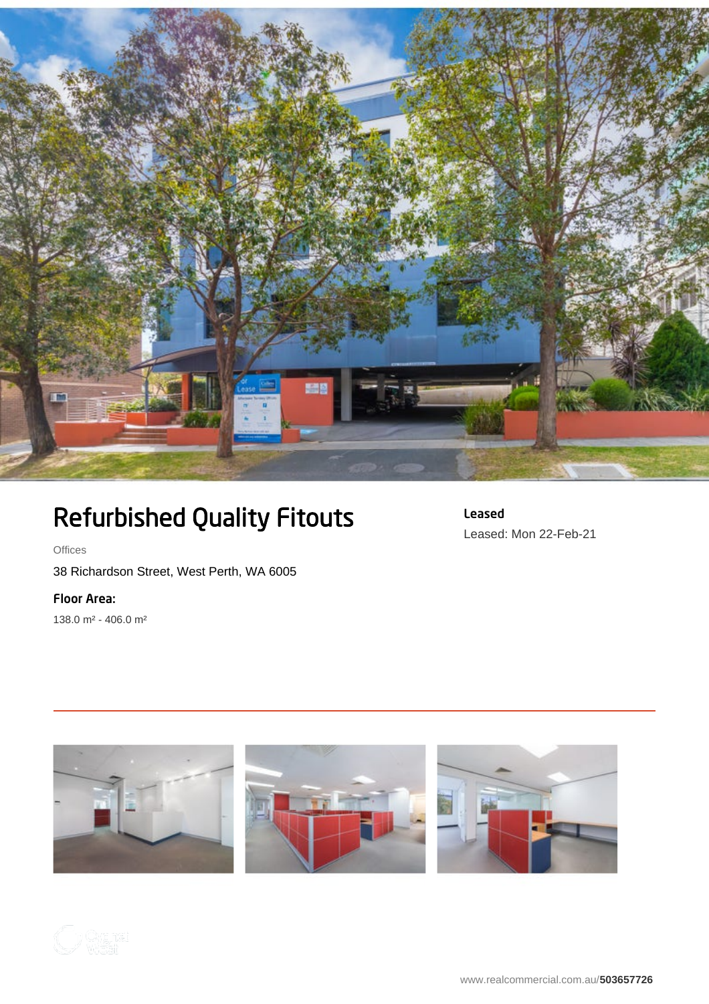

## Refurbished Quality Fitouts

Leased Leased: Mon 22-Feb-21

**Offices** 

38 Richardson Street, West Perth, WA 6005

Floor Area:

138.0 m² - 406.0 m²